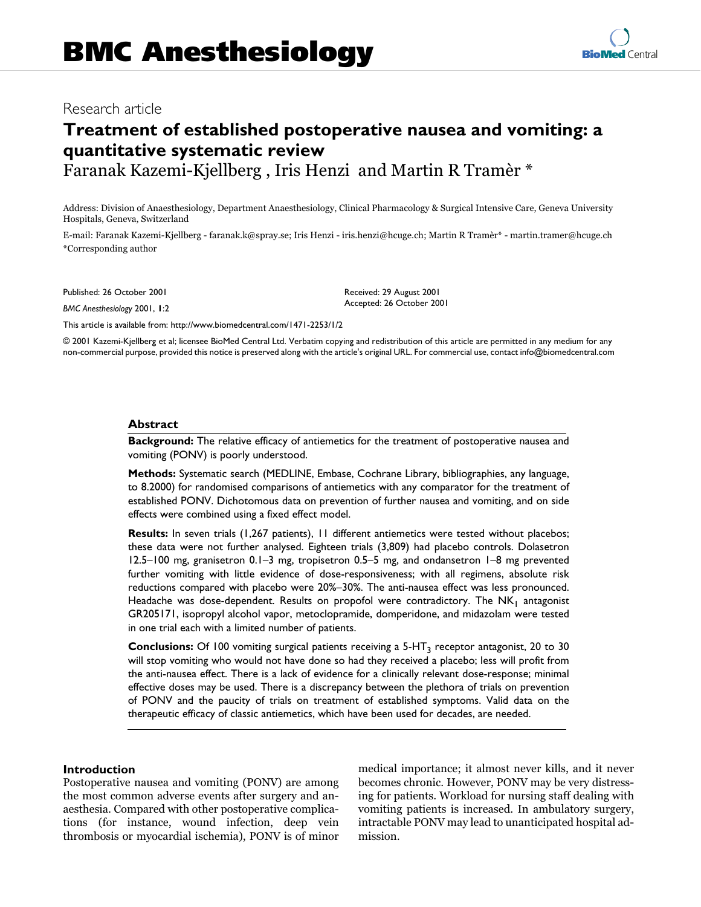## Research article

# **Treatment of established postoperative nausea and vomiting: a quantitative systematic review** Faranak Kazemi-Kjellberg , Iris Henzi and Martin R Tramèr \*

Address: Division of Anaesthesiology, Department Anaesthesiology, Clinical Pharmacology & Surgical Intensive Care, Geneva University Hospitals, Geneva, Switzerland

E-mail: Faranak Kazemi-Kjellberg - faranak.k@spray.se; Iris Henzi - iris.henzi@hcuge.ch; Martin R Tramèr\* - martin.tramer@hcuge.ch \*Corresponding author

Published: 26 October 2001

*BMC Anesthesiology* 2001, **1**:2

Received: 29 August 2001 Accepted: 26 October 2001

[This article is available from: http://www.biomedcentral.com/1471-2253/1/2](http://www.biomedcentral.com/1471-213X/1/4)

© 2001 Kazemi-Kjellberg et al; licensee BioMed Central Ltd. Verbatim copying and redistribution of this article are permitted in any medium for any non-commercial purpose, provided this notice is preserved along with the article's original URL. For commercial use, contact info@biomedcentral.com

## **Abstract**

**Background:** The relative efficacy of antiemetics for the treatment of postoperative nausea and vomiting (PONV) is poorly understood.

**Methods:** Systematic search (MEDLINE, Embase, Cochrane Library, bibliographies, any language, to 8.2000) for randomised comparisons of antiemetics with any comparator for the treatment of established PONV. Dichotomous data on prevention of further nausea and vomiting, and on side effects were combined using a fixed effect model.

**Results:** In seven trials (1,267 patients), 11 different antiemetics were tested without placebos; these data were not further analysed. Eighteen trials (3,809) had placebo controls. Dolasetron 12.5–100 mg, granisetron 0.1–3 mg, tropisetron 0.5–5 mg, and ondansetron 1–8 mg prevented further vomiting with little evidence of dose-responsiveness; with all regimens, absolute risk reductions compared with placebo were 20%–30%. The anti-nausea effect was less pronounced. Headache was dose-dependent. Results on propofol were contradictory. The  $NK<sub>1</sub>$  antagonist GR205171, isopropyl alcohol vapor, metoclopramide, domperidone, and midazolam were tested in one trial each with a limited number of patients.

**Conclusions:** Of 100 vomiting surgical patients receiving a 5-HT3 receptor antagonist, 20 to 30 will stop vomiting who would not have done so had they received a placebo; less will profit from the anti-nausea effect. There is a lack of evidence for a clinically relevant dose-response; minimal effective doses may be used. There is a discrepancy between the plethora of trials on prevention of PONV and the paucity of trials on treatment of established symptoms. Valid data on the therapeutic efficacy of classic antiemetics, which have been used for decades, are needed.

## **Introduction**

Postoperative nausea and vomiting (PONV) are among the most common adverse events after surgery and anaesthesia. Compared with other postoperative complications (for instance, wound infection, deep vein thrombosis or myocardial ischemia), PONV is of minor medical importance; it almost never kills, and it never becomes chronic. However, PONV may be very distressing for patients. Workload for nursing staff dealing with vomiting patients is increased. In ambulatory surgery, intractable PONV may lead to unanticipated hospital admission.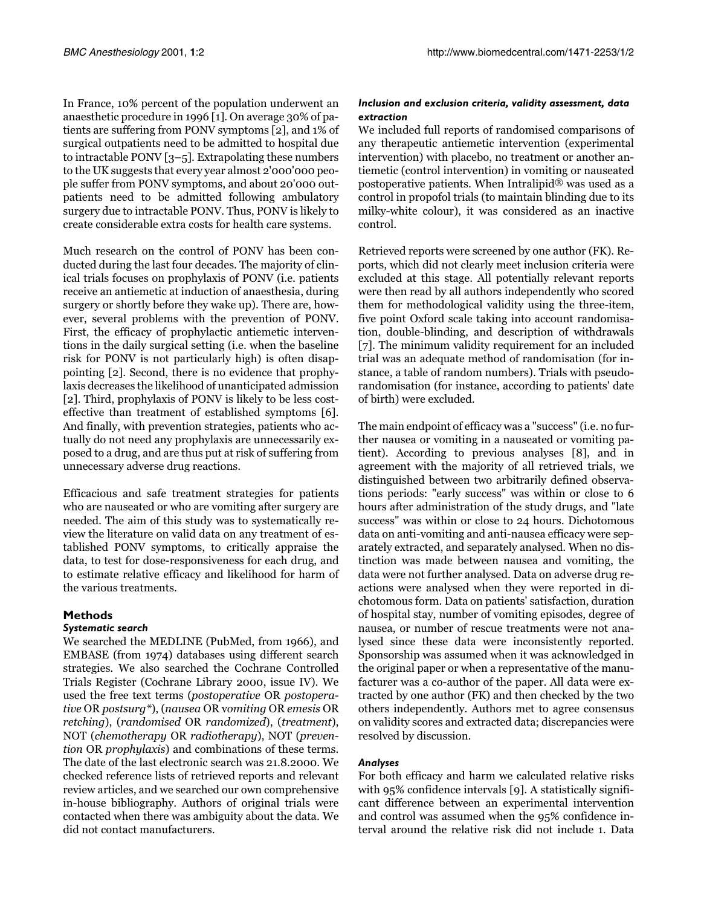In France, 10% percent of the population underwent an anaesthetic procedure in 1996 [\[1\]](#page-9-0). On average 30% of patients are suffering from PONV symptoms [[2](#page-9-1)], and 1% of surgical outpatients need to be admitted to hospital due to intractable PONV [\[3](#page-9-2)–[5\]](#page-9-3). Extrapolating these numbers to the UK suggests that every year almost 2'000'000 people suffer from PONV symptoms, and about 20'000 outpatients need to be admitted following ambulatory surgery due to intractable PONV. Thus, PONV is likely to create considerable extra costs for health care systems.

Much research on the control of PONV has been conducted during the last four decades. The majority of clinical trials focuses on prophylaxis of PONV (i.e. patients receive an antiemetic at induction of anaesthesia, during surgery or shortly before they wake up). There are, however, several problems with the prevention of PONV. First, the efficacy of prophylactic antiemetic interventions in the daily surgical setting (i.e. when the baseline risk for PONV is not particularly high) is often disappointing [\[2\]](#page-9-1). Second, there is no evidence that prophylaxis decreases the likelihood of unanticipated admission [[2](#page-9-1)]. Third, prophylaxis of PONV is likely to be less costeffective than treatment of established symptoms [\[6\]](#page-9-4). And finally, with prevention strategies, patients who actually do not need any prophylaxis are unnecessarily exposed to a drug, and are thus put at risk of suffering from unnecessary adverse drug reactions.

Efficacious and safe treatment strategies for patients who are nauseated or who are vomiting after surgery are needed. The aim of this study was to systematically review the literature on valid data on any treatment of established PONV symptoms, to critically appraise the data, to test for dose-responsiveness for each drug, and to estimate relative efficacy and likelihood for harm of the various treatments.

## **Methods**

## *Systematic search*

We searched the MEDLINE (PubMed, from 1966), and EMBASE (from 1974) databases using different search strategies. We also searched the Cochrane Controlled Trials Register (Cochrane Library 2000, issue IV). We used the free text terms (postoperative OR postoperative OR postsurg\*), (nausea OR vomiting OR emesis OR retching), (randomised OR randomized), (treatment), NOT (chemotherapy OR radiotherapy), NOT (prevention OR prophylaxis) and combinations of these terms. The date of the last electronic search was 21.8.2000. We checked reference lists of retrieved reports and relevant review articles, and we searched our own comprehensive in-house bibliography. Authors of original trials were contacted when there was ambiguity about the data. We did not contact manufacturers.

## *Inclusion and exclusion criteria, validity assessment, data extraction*

We included full reports of randomised comparisons of any therapeutic antiemetic intervention (experimental intervention) with placebo, no treatment or another antiemetic (control intervention) in vomiting or nauseated postoperative patients. When Intralipid® was used as a control in propofol trials (to maintain blinding due to its milky-white colour), it was considered as an inactive control.

Retrieved reports were screened by one author (FK). Reports, which did not clearly meet inclusion criteria were excluded at this stage. All potentially relevant reports were then read by all authors independently who scored them for methodological validity using the three-item, five point Oxford scale taking into account randomisation, double-blinding, and description of withdrawals [[7\]](#page-9-5). The minimum validity requirement for an included trial was an adequate method of randomisation (for instance, a table of random numbers). Trials with pseudorandomisation (for instance, according to patients' date of birth) were excluded.

The main endpoint of efficacy was a "success" (i.e. no further nausea or vomiting in a nauseated or vomiting patient). According to previous analyses [\[8](#page-9-6)], and in agreement with the majority of all retrieved trials, we distinguished between two arbitrarily defined observations periods: "early success" was within or close to 6 hours after administration of the study drugs, and "late success" was within or close to 24 hours. Dichotomous data on anti-vomiting and anti-nausea efficacy were separately extracted, and separately analysed. When no distinction was made between nausea and vomiting, the data were not further analysed. Data on adverse drug reactions were analysed when they were reported in dichotomous form. Data on patients' satisfaction, duration of hospital stay, number of vomiting episodes, degree of nausea, or number of rescue treatments were not analysed since these data were inconsistently reported. Sponsorship was assumed when it was acknowledged in the original paper or when a representative of the manufacturer was a co-author of the paper. All data were extracted by one author (FK) and then checked by the two others independently. Authors met to agree consensus on validity scores and extracted data; discrepancies were resolved by discussion.

## *Analyses*

For both efficacy and harm we calculated relative risks with [9](#page-9-7)5% confidence intervals [9]. A statistically significant difference between an experimental intervention and control was assumed when the 95% confidence interval around the relative risk did not include 1. Data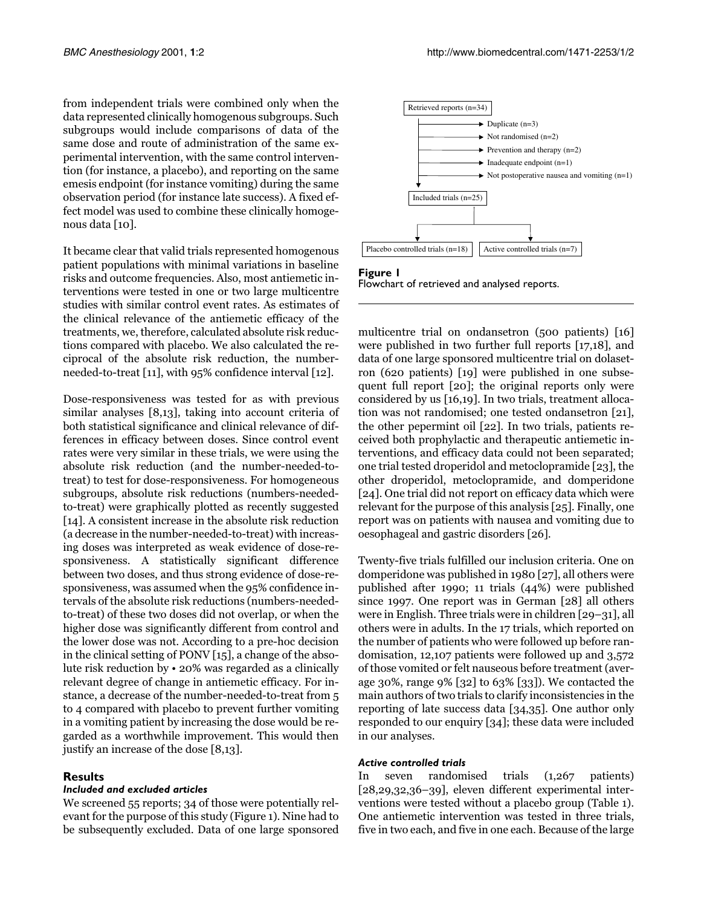from independent trials were combined only when the data represented clinically homogenous subgroups. Such subgroups would include comparisons of data of the same dose and route of administration of the same experimental intervention, with the same control intervention (for instance, a placebo), and reporting on the same emesis endpoint (for instance vomiting) during the same observation period (for instance late success). A fixed effect model was used to combine these clinically homogenous data [\[10](#page-9-8)].

It became clear that valid trials represented homogenous patient populations with minimal variations in baseline risks and outcome frequencies. Also, most antiemetic interventions were tested in one or two large multicentre studies with similar control event rates. As estimates of the clinical relevance of the antiemetic efficacy of the treatments, we, therefore, calculated absolute risk reductions compared with placebo. We also calculated the reciprocal of the absolute risk reduction, the numberneeded-to-treat [\[11\]](#page-9-9), with 95% confidence interval [[12](#page-9-10)].

Dose-responsiveness was tested for as with previous similar analyses [[8](#page-9-6),[13\]](#page-9-11), taking into account criteria of both statistical significance and clinical relevance of differences in efficacy between doses. Since control event rates were very similar in these trials, we were using the absolute risk reduction (and the number-needed-totreat) to test for dose-responsiveness. For homogeneous subgroups, absolute risk reductions (numbers-neededto-treat) were graphically plotted as recently suggested [[14](#page-9-12)]. A consistent increase in the absolute risk reduction (a decrease in the number-needed-to-treat) with increasing doses was interpreted as weak evidence of dose-responsiveness. A statistically significant difference between two doses, and thus strong evidence of dose-responsiveness, was assumed when the 95% confidence intervals of the absolute risk reductions (numbers-neededto-treat) of these two doses did not overlap, or when the higher dose was significantly different from control and the lower dose was not. According to a pre-hoc decision in the clinical setting of PONV [\[15](#page-9-13)], a change of the absolute risk reduction by • 20% was regarded as a clinically relevant degree of change in antiemetic efficacy. For instance, a decrease of the number-needed-to-treat from 5 to 4 compared with placebo to prevent further vomiting in a vomiting patient by increasing the dose would be regarded as a worthwhile improvement. This would then justify an increase of the dose [[8,](#page-9-6)[13\]](#page-9-11).

## **Results**

## *Included and excluded articles*

We screened 55 reports; 34 of those were potentially relevant for the purpose of this study (Figure [1\)](#page-2-0). Nine had to be subsequently excluded. Data of one large sponsored



<span id="page-2-0"></span>**Figure 1** Flowchart of retrieved and analysed reports.

multicentre trial on ondansetron (500 patients) [[16](#page-10-0)] were published in two further full reports [\[17](#page-10-1),[18\]](#page-10-2), and data of one large sponsored multicentre trial on dolasetron (620 patients) [[19](#page-10-3)] were published in one subsequent full report [\[20\]](#page-10-4); the original reports only were considered by us [[16](#page-10-0),[19\]](#page-10-3). In two trials, treatment allocation was not randomised; one tested ondansetron [\[21\]](#page-10-5), the other pepermint oil [[22\]](#page-10-6). In two trials, patients received both prophylactic and therapeutic antiemetic interventions, and efficacy data could not been separated; one trial tested droperidol and metoclopramide [\[23\]](#page-10-7), the other droperidol, metoclopramide, and domperidone [[24\]](#page-10-8). One trial did not report on efficacy data which were relevant for the purpose of this analysis [\[25\]](#page-10-9). Finally, one report was on patients with nausea and vomiting due to oesophageal and gastric disorders [\[26](#page-10-10)].

Twenty-five trials fulfilled our inclusion criteria. One on domperidone was published in 1980 [\[27\]](#page-10-11), all others were published after 1990; 11 trials (44%) were published since 1997. One report was in German [[28\]](#page-10-12) all others were in English. Three trials were in children [[29–](#page-10-13)[31](#page-10-14)], all others were in adults. In the 17 trials, which reported on the number of patients who were followed up before randomisation, 12,107 patients were followed up and 3,572 of those vomited or felt nauseous before treatment (average 30%, range 9% [[32\]](#page-10-15) to 63% [[33](#page-10-16)]). We contacted the main authors of two trials to clarify inconsistencies in the reporting of late success data [[34,](#page-10-17)[35\]](#page-10-18). One author only responded to our enquiry [[34\]](#page-10-17); these data were included in our analyses.

## *Active controlled trials*

<span id="page-2-1"></span>In seven randomised trials (1,267 patients) [[28,](#page-10-12)[29,](#page-10-13)[32](#page-10-15),[36–](#page-10-19)[39\]](#page-10-20), eleven different experimental interventions were tested without a placebo group (Table [1\)](#page-2-1). One antiemetic intervention was tested in three trials, five in two each, and five in one each. Because of the large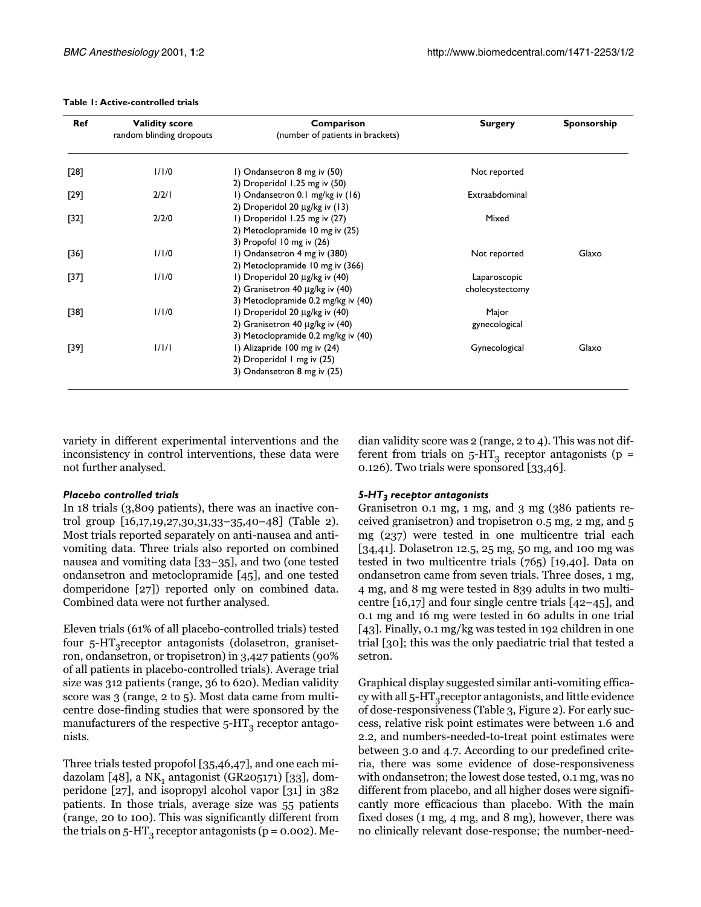#### **Table 1: Active-controlled trials**

| Ref    | <b>Validity score</b><br>random blinding dropouts | Comparison<br>(number of patients in brackets) | <b>Surgery</b>  | Sponsorship |  |
|--------|---------------------------------------------------|------------------------------------------------|-----------------|-------------|--|
|        |                                                   |                                                |                 |             |  |
| [28]   | 1/1/0                                             | I) Ondansetron 8 mg iv (50)                    | Not reported    |             |  |
|        |                                                   | 2) Droperidol 1.25 mg iv (50)                  |                 |             |  |
| [29]   | 2/2/1                                             | I) Ondansetron 0.1 mg/kg iv (16)               | Extraabdominal  |             |  |
|        |                                                   | 2) Droperidol 20 µg/kg iv (13)                 |                 |             |  |
| $[32]$ | 2/2/0                                             | I) Droperidol 1.25 mg iv (27)                  | Mixed           |             |  |
|        |                                                   | 2) Metoclopramide 10 mg iv (25)                |                 |             |  |
|        |                                                   | 3) Propofol 10 mg iv (26)                      |                 |             |  |
| [36]   | 1/1/0                                             | I) Ondansetron 4 mg iv (380)                   | Not reported    | Glaxo       |  |
|        |                                                   | 2) Metoclopramide 10 mg iv (366)               |                 |             |  |
| [37]   | 1/1/0                                             | I) Droperidol 20 µg/kg iv (40)                 | Laparoscopic    |             |  |
|        |                                                   | 2) Granisetron 40 µg/kg iv (40)                | cholecystectomy |             |  |
|        |                                                   | 3) Metoclopramide 0.2 mg/kg iv (40)            |                 |             |  |
| [38]   | 1/1/0                                             | I) Droperidol 20 µg/kg iv (40)                 | Major           |             |  |
|        |                                                   | 2) Granisetron 40 µg/kg iv (40)                | gynecological   |             |  |
|        |                                                   | 3) Metoclopramide 0.2 mg/kg iv (40)            |                 |             |  |
| [39]   | 1/1/1                                             | I) Alizapride 100 mg iv (24)                   | Gynecological   | Glaxo       |  |
|        |                                                   | 2) Droperidol I mg iv (25)                     |                 |             |  |
|        |                                                   | 3) Ondansetron 8 mg iv (25)                    |                 |             |  |

variety in different experimental interventions and the inconsistency in control interventions, these data were not further analysed.

### *Placebo controlled trials*

In 18 trials (3,809 patients), there was an inactive control group [[16,](#page-10-0)[17](#page-10-1)[,19](#page-10-3)[,27,](#page-10-11)[30,](#page-10-23)[31](#page-10-14)[,33](#page-10-16)–[35,](#page-10-18)[40](#page-10-24)[–48\]](#page-10-25) (Table [2\)](#page-3-0). Most trials reported separately on anti-nausea and antivomiting data. Three trials also reported on combined nausea and vomiting data [[33](#page-10-16)–[35](#page-10-18)], and two (one tested ondansetron and metoclopramide [[45](#page-10-26)], and one tested domperidone [[27](#page-10-11)]) reported only on combined data. Combined data were not further analysed.

<span id="page-3-0"></span>Eleven trials (61% of all placebo-controlled trials) tested four  $5-HT_3$ receptor antagonists (dolasetron, granisetron, ondansetron, or tropisetron) in 3,427 patients (90% of all patients in placebo-controlled trials). Average trial size was 312 patients (range, 36 to 620). Median validity score was 3 (range, 2 to 5). Most data came from multicentre dose-finding studies that were sponsored by the manufacturers of the respective  $5-HT_3$  receptor antagonists.

Three trials tested propofol [\[35](#page-10-18)[,46](#page-10-27)[,47](#page-10-28)], and one each midazolam  $[48]$  $[48]$ , a NK<sub>1</sub> antagonist (GR205171) [\[33\]](#page-10-16), domperidone [[27](#page-10-11)], and isopropyl alcohol vapor [[31](#page-10-14)] in 382 patients. In those trials, average size was 55 patients (range, 20 to 100). This was significantly different from the trials on 5-HT<sub>3</sub> receptor antagonists ( $p = 0.002$ ). Median validity score was 2 (range, 2 to 4). This was not different from trials on  $5-HT_3$  receptor antagonists (p = 0.126). Two trials were sponsored [\[33](#page-10-16)[,46](#page-10-27)].

### *5-HT3 receptor antagonists*

Granisetron 0.1 mg, 1 mg, and 3 mg (386 patients received granisetron) and tropisetron 0.5 mg, 2 mg, and 5 mg (237) were tested in one multicentre trial each [[34,](#page-10-17)[41\]](#page-10-29). Dolasetron 12.5, 25 mg, 50 mg, and 100 mg was tested in two multicentre trials (765) [[19,](#page-10-3)[40\]](#page-10-24). Data on ondansetron came from seven trials. Three doses, 1 mg, 4 mg, and 8 mg were tested in 839 adults in two multicentre [[16](#page-10-0),[17\]](#page-10-1) and four single centre trials [[42–](#page-10-30)[45\]](#page-10-26), and 0.1 mg and 16 mg were tested in 60 adults in one trial [[43\]](#page-10-31). Finally, 0.1 mg/kg was tested in 192 children in one trial [\[30\]](#page-10-23); this was the only paediatric trial that tested a setron.

Graphical display suggested similar anti-vomiting efficacy with all  $5-HT_3$ receptor antagonists, and little evidence of dose-responsiveness (Table [3](#page-6-0), Figure [2](#page-6-1)). For early success, relative risk point estimates were between 1.6 and 2.2, and numbers-needed-to-treat point estimates were between 3.0 and 4.7. According to our predefined criteria, there was some evidence of dose-responsiveness with ondansetron; the lowest dose tested, 0.1 mg, was no different from placebo, and all higher doses were significantly more efficacious than placebo. With the main fixed doses (1 mg, 4 mg, and 8 mg), however, there was no clinically relevant dose-response; the number-need-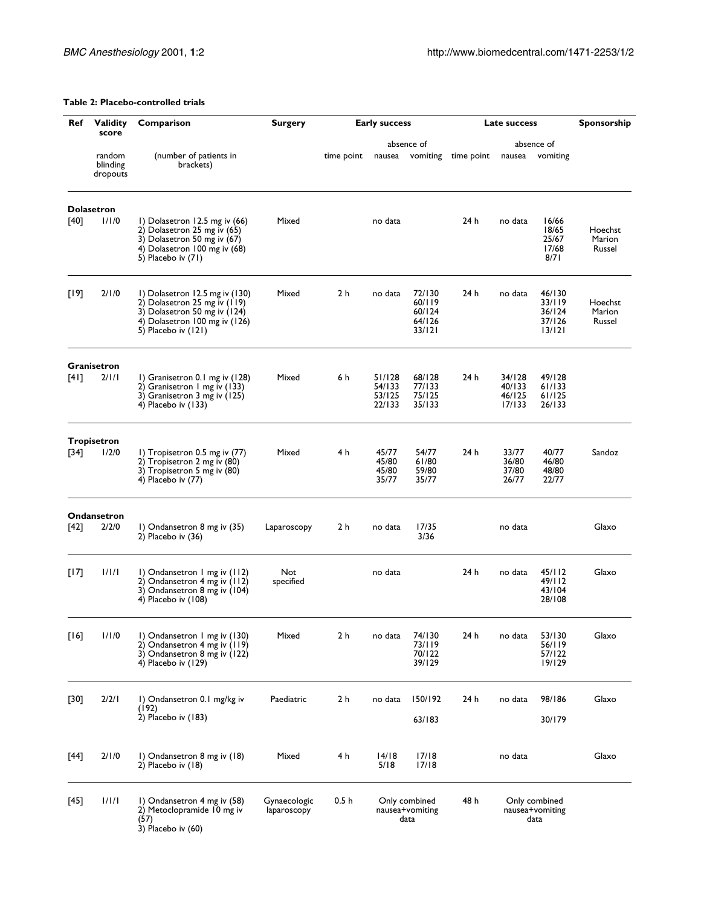## **Table 2: Placebo-controlled trials**

| Ref    | <b>Validity</b>                | Comparison                                                                                                                                               | <b>Surgery</b>              | <b>Early success</b> |                                                                                              |                                                | Late success | Sponsorship                          |                                                |                             |
|--------|--------------------------------|----------------------------------------------------------------------------------------------------------------------------------------------------------|-----------------------------|----------------------|----------------------------------------------------------------------------------------------|------------------------------------------------|--------------|--------------------------------------|------------------------------------------------|-----------------------------|
|        | score                          |                                                                                                                                                          |                             |                      |                                                                                              | absence of                                     |              | absence of                           |                                                |                             |
|        | random<br>blinding<br>dropouts | (number of patients in<br>brackets)                                                                                                                      |                             | time point           | nausea                                                                                       | vomiting                                       | time point   | nausea                               | vomiting                                       |                             |
|        | <b>Dolasetron</b>              |                                                                                                                                                          |                             |                      |                                                                                              |                                                |              |                                      |                                                |                             |
| [40]   | 1/1/0                          | 1) Dolasetron 12.5 mg iv $(66)$<br>2) Dolasetron 25 mg iv (65)<br>3) Dolasetron 50 mg iv (67)<br>4) Dolasetron 100 mg iv (68)<br>5) Placebo iv (71)      | Mixed                       |                      | no data                                                                                      |                                                | 24 h         | no data                              | 16/66<br>18/65<br>25/67<br>17/68<br>8/71       | Hoechst<br>Marion<br>Russel |
| $[19]$ | 2/1/0                          | 1) Dolasetron 12.5 mg iv $(130)$<br>2) Dolasetron 25 mg iv (119)<br>3) Dolasetron 50 mg iv (124)<br>4) Dolasetron 100 mg iv (126)<br>5) Placebo iv (121) | Mixed                       | 2 h                  | no data                                                                                      | 72/130<br>60/119<br>60/124<br>64/126<br>33/121 | 24 h         | no data                              | 46/130<br>33/119<br>36/124<br>37/126<br>13/121 | Hoechst<br>Marion<br>Russel |
|        | <b>Granisetron</b>             |                                                                                                                                                          |                             |                      |                                                                                              |                                                |              |                                      |                                                |                             |
| [41]   | 2/1/1                          | I) Granisetron 0.1 mg iv (128)<br>2) Granisetron 1 mg iv (133)<br>3) Granisetron 3 mg iv (125)<br>4) Placebo iv (133)                                    | Mixed                       | 6 h                  | 51/128<br>54/133<br>53/125<br>22/133                                                         | 68/128<br>77/133<br>75/125<br>35/133           | 24 h         | 34/128<br>40/133<br>46/125<br>17/133 | 49/128<br>61/133<br>61/125<br>26/133           |                             |
|        |                                |                                                                                                                                                          |                             |                      |                                                                                              |                                                |              |                                      |                                                |                             |
| $[34]$ | <b>Tropisetron</b><br>1/2/0    | 1) Tropisetron 0.5 mg iv $(77)$<br>2) Tropisetron 2 mg iv (80)<br>3) Tropisetron 5 mg iv (80)<br>4) Placebo iv (77)                                      | Mixed                       | 4 h                  | 45/77<br>45/80<br>45/80<br>35/77                                                             | 54/77<br>61/80<br>59/80<br>35/77               | 24 h         | 33/77<br>36/80<br>37/80<br>26/77     | 40/77<br>46/80<br>48/80<br>22/77               | Sandoz                      |
|        |                                |                                                                                                                                                          |                             |                      |                                                                                              |                                                |              |                                      |                                                |                             |
| [42]   | <b>Ondansetron</b><br>2/2/0    | 1) Ondansetron 8 mg iv (35)<br>$2)$ Placebo iv $(36)$                                                                                                    | Laparoscopy                 | 2 h                  | no data                                                                                      | 17/35<br>3/36                                  |              | no data                              |                                                | Glaxo                       |
| [17]   | 1/1/1                          | 1) Ondansetron 1 mg iv (112)<br>2) Ondansetron 4 mg iv (112)<br>3) Ondansetron 8 mg iv (104)<br>4) Placebo iv (108)                                      | Not<br>specified            |                      | no data                                                                                      |                                                | 24 h         | no data                              | 45/112<br>49/112<br>43/104<br>28/108           | Glaxo                       |
| $[16]$ | 1/1/0                          | I) Ondansetron I mg iv (130)<br>2) Ondansetron 4 mg iv (119)<br>3) Ondansetron 8 mg iv $(122)$<br>4) Placebo iv (129)                                    | Mixed                       | 2 h                  | no data                                                                                      | 74/130<br>73/119<br>70/122<br>39/129           | 24 h         | no data                              | 53/130<br>56/119<br>57/122<br>19/129           | Glaxo                       |
|        |                                |                                                                                                                                                          |                             |                      |                                                                                              |                                                |              |                                      |                                                |                             |
| $[30]$ | 2/2/1                          | 1) Ondansetron 0.1 mg/kg iv<br>(192)<br>2) Placebo iv (183)                                                                                              | Paediatric                  | 2 <sub>h</sub>       | no data                                                                                      | 150/192<br>63/183                              | 24 h         | no data                              | 98/186<br>30/179                               | Glaxo                       |
| [44]   | 2/1/0                          | 1) Ondansetron 8 mg iv (18)<br>2) Placebo iv (18)                                                                                                        | Mixed                       | 4 h                  | 14/18<br>5/18                                                                                | 17/18<br>17/18                                 |              | no data                              |                                                | Glaxo                       |
| $[45]$ | 1/1/1                          | 1) Ondansetron 4 mg iv (58)<br>2) Metoclopramide 10 mg iv<br>(57)<br>$3)$ Placebo iv $(60)$                                                              | Gynaecologic<br>laparoscopy | 0.5 <sub>h</sub>     | 48 h<br>Only combined<br>Only combined<br>nausea+vomiting<br>nausea+vomiting<br>data<br>data |                                                |              |                                      |                                                |                             |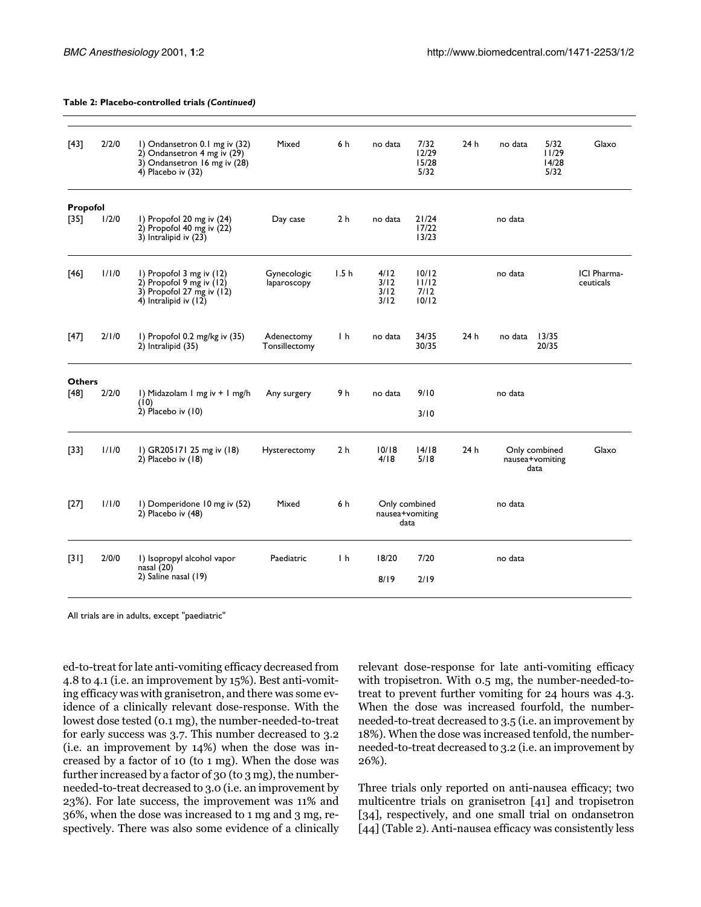| $[43]$        | 2/2/0 | I) Ondansetron 0.1 mg iv (32)<br>2) Ondansetron 4 mg iv (29)<br>3) Ondansetron 16 mg iv (28)<br>4) Placebo iv (32) | Mixed                       | 6 h            | no data                      | 7/32<br>12/29<br>15/28<br>5/32           | 24h     | no data | 5/32<br>11/29<br>14/28<br>5/32           | Glaxo                    |
|---------------|-------|--------------------------------------------------------------------------------------------------------------------|-----------------------------|----------------|------------------------------|------------------------------------------|---------|---------|------------------------------------------|--------------------------|
| Propofol      |       |                                                                                                                    |                             |                |                              |                                          |         |         |                                          |                          |
| $[35]$        | 1/2/0 | I) Propofol 20 mg iv (24)<br>2) Propofol 40 mg iv $(22)$<br>$3)$ Intralipid iv $(23)$                              | Day case                    | 2 <sub>h</sub> | no data                      | 21/24<br>17/22<br>13/23                  |         | no data |                                          |                          |
| [46]          | 1/1/0 | I) Propofol 3 mg iv (12)<br>$2)$ Propofol 9 mg iv (12)<br>3) Propofol 27 mg iv $(12)$<br>4) Intralipid iv (12)     | Gynecologic<br>laparoscopy  | 1.5h           | 4/12<br>3/12<br>3/12<br>3/12 | 10/12<br>11/12<br>7/12<br>10/12          |         | no data |                                          | ICI Pharma-<br>ceuticals |
| [47]          | 2/1/0 | I) Propofol 0.2 mg/kg iv (35)<br>2) Intralipid (35)                                                                | Adenectomy<br>Tonsillectomy | $\mathsf{h}$   | no data                      | 34/35<br>30/35                           | 24h     | no data | 13/35<br>20/35                           |                          |
| <b>Others</b> |       |                                                                                                                    |                             |                |                              |                                          |         |         |                                          |                          |
| [48]          | 2/2/0 | I) Midazolam I mg iv + I mg/h<br>(10)                                                                              | Any surgery                 | 9 h            | no data                      | 9/10                                     |         | no data |                                          |                          |
|               |       | $2)$ Placebo iv (10)                                                                                               |                             |                |                              | 3/10                                     |         |         |                                          |                          |
| $[33]$        | 1/1/0 | I) GR205171 25 mg iv (18)<br>$2)$ Placebo iv (18)                                                                  | Hysterectomy                | 2 <sub>h</sub> | 10/18<br>4/18                | 14/18<br>5/18                            | 24h     |         | Only combined<br>nausea+vomiting<br>data | Glaxo                    |
| $[27]$        | 1/1/0 | I) Domperidone 10 mg iv (52)<br>2) Placebo iv (48)                                                                 | Mixed                       | 6 h            |                              | Only combined<br>nausea+vomiting<br>data | no data |         |                                          |                          |
| $[31]$        | 2/0/0 | I) Isopropyl alcohol vapor                                                                                         | Paediatric                  | $\mathsf{h}$   | 18/20                        | 7/20                                     |         | no data |                                          |                          |
|               |       | nasal (20)<br>2) Saline nasal (19)                                                                                 |                             |                | 8/19                         | 2/19                                     |         |         |                                          |                          |
|               |       |                                                                                                                    |                             |                |                              |                                          |         |         |                                          |                          |

#### **Table 2: Placebo-controlled trials** *(Continued)*

All trials are in adults, except "paediatric"

ed-to-treat for late anti-vomiting efficacy decreased from 4.8 to 4.1 (i.e. an improvement by 15%). Best anti-vomiting efficacy was with granisetron, and there was some evidence of a clinically relevant dose-response. With the lowest dose tested (0.1 mg), the number-needed-to-treat for early success was 3.7. This number decreased to 3.2 (i.e. an improvement by 14%) when the dose was increased by a factor of 10 (to 1 mg). When the dose was further increased by a factor of 30 (to 3 mg), the numberneeded-to-treat decreased to 3.0 (i.e. an improvement by 23%). For late success, the improvement was 11% and 36%, when the dose was increased to 1 mg and 3 mg, respectively. There was also some evidence of a clinically relevant dose-response for late anti-vomiting efficacy with tropisetron. With 0.5 mg, the number-needed-totreat to prevent further vomiting for 24 hours was 4.3. When the dose was increased fourfold, the numberneeded-to-treat decreased to 3.5 (i.e. an improvement by 18%). When the dose was increased tenfold, the numberneeded-to-treat decreased to 3.2 (i.e. an improvement by 26%).

Three trials only reported on anti-nausea efficacy; two multicentre trials on granisetron [\[41](#page-10-29)] and tropisetron [[34\]](#page-10-17), respectively, and one small trial on ondansetron [[44\]](#page-10-32) (Table [2\)](#page-3-0). Anti-nausea efficacy was consistently less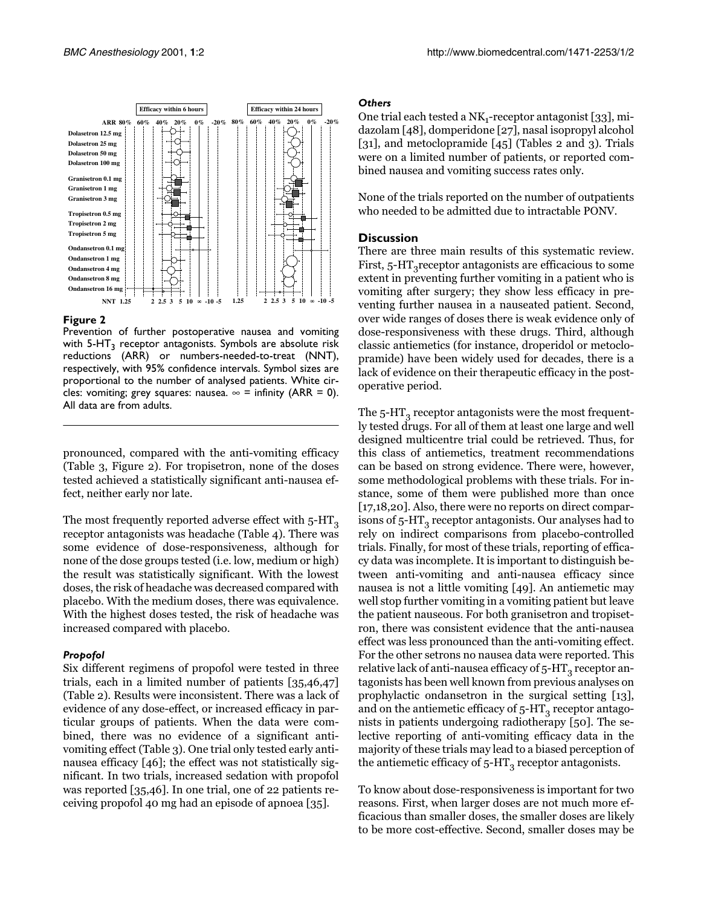

#### <span id="page-6-1"></span>**Figure 2**

Prevention of further postoperative nausea and vomiting with  $5-HT<sub>3</sub>$  receptor antagonists. Symbols are absolute risk reductions (ARR) or numbers-needed-to-treat (NNT), respectively, with 95% confidence intervals. Symbol sizes are proportional to the number of analysed patients. White circles: vomiting; grey squares: nausea.  $\infty$  = infinity (ARR = 0). All data are from adults.

pronounced, compared with the anti-vomiting efficacy (Table [3,](#page-6-0) Figure [2\)](#page-6-1). For tropisetron, none of the doses tested achieved a statistically significant anti-nausea effect, neither early nor late.

The most frequently reported adverse effect with  $5-HT<sub>3</sub>$ receptor antagonists was headache (Table [4](#page-6-0)). There was some evidence of dose-responsiveness, although for none of the dose groups tested (i.e. low, medium or high) the result was statistically significant. With the lowest doses, the risk of headache was decreased compared with placebo. With the medium doses, there was equivalence. With the highest doses tested, the risk of headache was increased compared with placebo.

#### *Propofol*

Six different regimens of propofol were tested in three trials, each in a limited number of patients [\[35,](#page-10-18)[46](#page-10-27),[47](#page-10-28)] (Table [2\)](#page-3-0). Results were inconsistent. There was a lack of evidence of any dose-effect, or increased efficacy in particular groups of patients. When the data were combined, there was no evidence of a significant antivomiting effect (Table [3\)](#page-6-0). One trial only tested early antinausea efficacy [\[46](#page-10-27)]; the effect was not statistically significant. In two trials, increased sedation with propofol was reported [\[35](#page-10-18)[,46](#page-10-27)]. In one trial, one of 22 patients receiving propofol 40 mg had an episode of apnoea [\[35\]](#page-10-18).

#### *Others*

One trial each tested a  $NK_1$ -receptor antagonist [[33\]](#page-10-16), midazolam [[48](#page-10-25)], domperidone [[27](#page-10-11)], nasal isopropyl alcohol [[31](#page-10-14)], and metoclopramide [\[45\]](#page-10-26) (Tables [2](#page-3-0) and [3\)](#page-6-0). Trials were on a limited number of patients, or reported combined nausea and vomiting success rates only.

None of the trials reported on the number of outpatients who needed to be admitted due to intractable PONV.

#### **Discussion**

There are three main results of this systematic review. First,  $5-HT_3$  receptor antagonists are efficacious to some extent in preventing further vomiting in a patient who is vomiting after surgery; they show less efficacy in preventing further nausea in a nauseated patient. Second, over wide ranges of doses there is weak evidence only of dose-responsiveness with these drugs. Third, although classic antiemetics (for instance, droperidol or metoclopramide) have been widely used for decades, there is a lack of evidence on their therapeutic efficacy in the postoperative period.

<span id="page-6-0"></span>The  $5$ -HT<sub>3</sub> receptor antagonists were the most frequently tested drugs. For all of them at least one large and well designed multicentre trial could be retrieved. Thus, for this class of antiemetics, treatment recommendations can be based on strong evidence. There were, however, some methodological problems with these trials. For instance, some of them were published more than once [[17](#page-10-1)[,18](#page-10-2)[,20](#page-10-4)]. Also, there were no reports on direct comparisons of  $5-HT_3$  receptor antagonists. Our analyses had to rely on indirect comparisons from placebo-controlled trials. Finally, for most of these trials, reporting of efficacy data was incomplete. It is important to distinguish between anti-vomiting and anti-nausea efficacy since nausea is not a little vomiting [[49\]](#page-10-33). An antiemetic may well stop further vomiting in a vomiting patient but leave the patient nauseous. For both granisetron and tropisetron, there was consistent evidence that the anti-nausea effect was less pronounced than the anti-vomiting effect. For the other setrons no nausea data were reported. This relative lack of anti-nausea efficacy of 5-HT $_{\tiny{3}}$  receptor antagonists has been well known from previous analyses on prophylactic ondansetron in the surgical setting [\[13\]](#page-9-11), and on the antiemetic efficacy of 5-HT $_{\rm 3}$  receptor antagonists in patients undergoing radiotherapy [\[50](#page-10-34)]. The selective reporting of anti-vomiting efficacy data in the majority of these trials may lead to a biased perception of the antiemetic efficacy of  $5-HT_3$  receptor antagonists.

To know about dose-responsiveness is important for two reasons. First, when larger doses are not much more efficacious than smaller doses, the smaller doses are likely to be more cost-effective. Second, smaller doses may be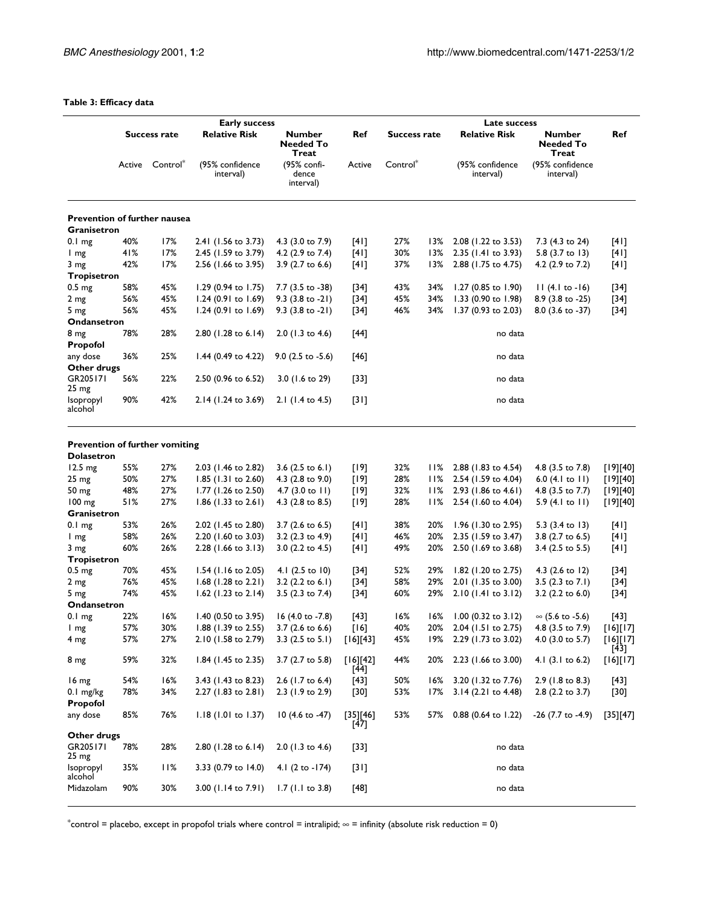## **Table 3: Efficacy data**

|                                                            |              |                 |                                              |                                            |                    |                     | Late success |                              |                                            |                       |  |  |  |
|------------------------------------------------------------|--------------|-----------------|----------------------------------------------|--------------------------------------------|--------------------|---------------------|--------------|------------------------------|--------------------------------------------|-----------------------|--|--|--|
|                                                            | Success rate |                 | <b>Early success</b><br><b>Relative Risk</b> | <b>Number</b><br><b>Needed To</b><br>Treat |                    | <b>Success rate</b> |              | <b>Relative Risk</b>         | <b>Number</b><br><b>Needed To</b><br>Treat | Ref                   |  |  |  |
|                                                            |              | Active Control* | (95% confidence<br>interval)                 | (95% confi-<br>dence<br>interval)          | Active             | Control*            |              | (95% confidence<br>interval) | (95% confidence<br>interval)               |                       |  |  |  |
| <b>Prevention of further nausea</b>                        |              |                 |                                              |                                            |                    |                     |              |                              |                                            |                       |  |  |  |
| Granisetron                                                |              |                 |                                              |                                            |                    |                     |              |                              |                                            |                       |  |  |  |
| 0.1 <sub>mg</sub>                                          | 40%          | 17%             | 2.41 (1.56 to 3.73)                          | 4.3 (3.0 to 7.9)                           | [4]                | 27%                 | 13%          | 2.08 (1.22 to 3.53)          | 7.3 (4.3 to 24)                            | [4]                   |  |  |  |
| l mg                                                       | 41%          | 17%             | 2.45 (1.59 to 3.79)                          | 4.2 (2.9 to 7.4)                           | [4]                | 30%                 | 13%          | 2.35 (1.41 to 3.93)          | 5.8 (3.7 to 13)                            | [4]                   |  |  |  |
| 3 mg                                                       | 42%          | 17%             | 2.56 (1.66 to 3.95)                          | 3.9 (2.7 to 6.6)                           | [4]                | 37%                 | 13%          | 2.88 (1.75 to 4.75)          | 4.2 (2.9 to 7.2)                           | [4]                   |  |  |  |
| Tropisetron                                                |              |                 |                                              |                                            |                    |                     |              |                              |                                            |                       |  |  |  |
| 0.5 <sub>mg</sub>                                          | 58%          | 45%             | 1.29 $(0.94 \text{ to } 1.75)$               | 7.7 (3.5 to -38)                           | [34]               | 43%                 | 34%          | $1.27$ (0.85 to 1.90)        | $11(4.1 to -16)$                           | $[34]$                |  |  |  |
| 2 mg                                                       | 56%          | 45%             | 1.24 (0.91 to 1.69)                          | $9.3$ (3.8 to -21)                         | $[34]$             | 45%                 | 34%          | 1.33 (0.90 to 1.98)          | 8.9 (3.8 to -25)                           | $[34]$                |  |  |  |
| 5 mg                                                       | 56%          | 45%             | 1.24 (0.91 to 1.69)                          | $9.3$ (3.8 to -21)                         | $[34]$             | 46%                 | 34%          | 1.37 (0.93 to 2.03)          | 8.0 (3.6 to -37)                           | $[34]$                |  |  |  |
| Ondansetron                                                |              |                 |                                              |                                            |                    |                     |              |                              |                                            |                       |  |  |  |
| 8 <sub>mg</sub><br>Propofol                                | 78%          | 28%             | 2.80 (1.28 to 6.14)                          | $2.0$ (1.3 to 4.6)                         | $[44]$             |                     |              | no data                      |                                            |                       |  |  |  |
| any dose<br>Other drugs                                    | 36%          | 25%             | 1.44 (0.49 to 4.22)                          | $9.0$ (2.5 to -5.6)                        | $[46]$             |                     |              | no data                      |                                            |                       |  |  |  |
| GR205171<br>25 <sub>mg</sub>                               | 56%          | 22%             | 2.50 (0.96 to 6.52)                          | 3.0 (1.6 to 29)                            | [33]               |                     |              | no data                      |                                            |                       |  |  |  |
| Isopropyl<br>alcohol                                       | 90%          | 42%             | 2.14 (1.24 to 3.69)                          | 2.1 (1.4 to 4.5)                           | $[31]$             |                     |              | no data                      |                                            |                       |  |  |  |
| <b>Prevention of further vomiting</b><br><b>Dolasetron</b> |              |                 |                                              |                                            |                    |                     |              |                              |                                            |                       |  |  |  |
| 12.5 mg                                                    | 55%          | 27%             | 2.03 (1.46 to 2.82)                          | 3.6 $(2.5 \text{ to } 6.1)$                | [19]               | 32%                 | 11%          | 2.88 (1.83 to 4.54)          | 4.8 (3.5 to 7.8)                           | [19][40]              |  |  |  |
| 25 <sub>mg</sub>                                           | 50%          | 27%             | 1.85 (1.31 to 2.60)                          | 4.3 (2.8 to 9.0)                           | [19]               | 28%                 | 11%          | 2.54 (1.59 to 4.04)          | 6.0 $(4.1 \text{ to } 11)$                 | $[19]$ $[40]$         |  |  |  |
| 50 mg                                                      | 48%          | 27%             | 1.77 (1.26 to 2.50)                          | 4.7 $(3.0 \text{ to } 11)$                 | [19]               | 32%                 | 11%          | 2.93 (1.86 to 4.61)          | 4.8 (3.5 to 7.7)                           | [19][40]              |  |  |  |
| $100 \text{ mg}$<br>Granisetron                            | 51%          | 27%             | $1.86$ (1.33 to 2.61)                        | 4.3 (2.8 to 8.5)                           | [19]               | 28%                 |              | 2.54 (1.60 to 4.04)          | 5.9 $(4.1 \text{ to } 11)$                 | [19][40]              |  |  |  |
| 0.1 <sub>mg</sub>                                          | 53%          | 26%             | 2.02 (1.45 to 2.80)                          | 3.7 (2.6 to 6.5)                           | [4]                | 38%                 | 20%          | 1.96 (1.30 to 2.95)          | 5.3 (3.4 to 13)                            | [4]                   |  |  |  |
| I mg                                                       | 58%          | 26%             | 2.20 (1.60 to 3.03)                          | 3.2 (2.3 to 4.9)                           | [4]                | 46%                 | 20%          | 2.35 (1.59 to 3.47)          | 3.8 (2.7 to 6.5)                           | [4]                   |  |  |  |
| 3 mg                                                       | 60%          | 26%             | 2.28 (1.66 to 3.13)                          | 3.0 (2.2 to 4.5)                           | [4]                | 49%                 | 20%          | 2.50 (1.69 to 3.68)          | 3.4 (2.5 to 5.5)                           | [4]                   |  |  |  |
| Tropisetron                                                |              |                 |                                              |                                            |                    |                     |              |                              |                                            |                       |  |  |  |
| 0.5 <sub>mg</sub>                                          | 70%          | 45%             | 1.54 (1.16 to 2.05)                          | 4.1 (2.5 to 10)                            | $[34]$             | 52%                 | 29%          | $1.82$ (1.20 to 2.75)        | 4.3 $(2.6 \text{ to } 12)$                 | $[34]$                |  |  |  |
| 2 <sub>mg</sub>                                            | 76%          | 45%             | 1.68 (1.28 to 2.21)                          | 3.2 (2.2 to 6.1)                           | $[34]$             | 58%                 | 29%          | 2.01 (1.35 to 3.00)          | 3.5 $(2.3 \text{ to } 7.1)$                | $[34]$                |  |  |  |
| 5 mg                                                       | 74%          | 45%             | $1.62$ (1.23 to 2.14)                        | 3.5 (2.3 to 7.4)                           | $[34]$             | 60%                 | 29%          | 2.10 (1.41 to 3.12)          | 3.2 (2.2 to 6.0)                           | $[34]$                |  |  |  |
| Ondansetron                                                |              |                 |                                              |                                            |                    |                     |              |                              |                                            |                       |  |  |  |
| 0.1 <sub>mg</sub>                                          | 22%          | 16%             | 1.40 (0.50 to 3.95)                          | 16 (4.0 to -7.8)                           | [43]               | 16%                 | 16%          | 1.00 (0.32 to 3.12)          | ∞ (5.6 to -5.6)                            | $[43]$                |  |  |  |
| I mg                                                       | 57%          | 30%             | 1.88 (1.39 to 2.55)                          | 3.7 (2.6 to 6.6)                           | [16]               | 40%                 | 20%          | 2.04 (1.51 to 2.75)          | 4.8 (3.5 to 7.9)                           | [16][17]              |  |  |  |
| 4 mg                                                       | 57%          | 27%             | 2.10 (1.58 to 2.79)                          | 3.3 $(2.5 \text{ to } 5.1)$                | [16][43]           | 45%                 | 19%          | 2.29 (1.73 to 3.02)          | 4.0 (3.0 to 5.7)                           | $[16]$ [17]<br>$[43]$ |  |  |  |
| 8 mg                                                       | 59%          | 32%             | 1.84 (1.45 to 2.35)                          | 3.7 (2.7 to 5.8)                           | [16][42]<br>$[44]$ | 44%                 | 20%          | 2.23 (1.66 to 3.00)          | 4.1 (3.1 to 6.2)                           | $[16][17]$            |  |  |  |
| 16 mg                                                      | 54%          | 16%             | 3.43 (1.43 to 8.23)                          | $2.6$ (1.7 to 6.4)                         | $[43]$             | 50%                 | 16%          | 3.20 (1.32 to 7.76)          | 2.9 (1.8 to 8.3)                           | $[43]$                |  |  |  |
| $0.1$ mg/kg<br>Propofol                                    | 78%          | 34%             | 2.27 (1.83 to 2.81)                          | 2.3 (1.9 to 2.9)                           | $[30]$             | 53%                 | 17%          | 3.14 (2.21 to 4.48)          | 2.8 (2.2 to 3.7)                           | [30]                  |  |  |  |
| any dose                                                   | 85%          | 76%             | 1.18 (1.01 to 1.37)                          | 10 (4.6 to -47)                            | [35][46]<br>$[47]$ | 53%                 | 57%          | 0.88 (0.64 to 1.22)          | -26 (7.7 to -4.9)                          | [35][47]              |  |  |  |
| Other drugs                                                |              |                 |                                              |                                            |                    |                     |              |                              |                                            |                       |  |  |  |
| GR205171<br>25 mg                                          | 78%          | 28%             | 2.80 (1.28 to 6.14)                          | 2.0 (1.3 to 4.6)                           | [33]               |                     |              | no data                      |                                            |                       |  |  |  |
| Isopropyl<br>alcohol                                       | 35%          | 11%             | 3.33 (0.79 to 14.0)                          | 4.1 (2 to -174)                            | $[31]$             |                     |              | no data                      |                                            |                       |  |  |  |
| Midazolam                                                  | 90%          | 30%             | 3.00 (1.14 to 7.91)                          | $1.7$ (1.1 to 3.8)                         | $[48]$             |                     |              | no data                      |                                            |                       |  |  |  |

 $*$ control = placebo, except in propofol trials where control = intralipid;  $\infty$  = infinity (absolute risk reduction = 0)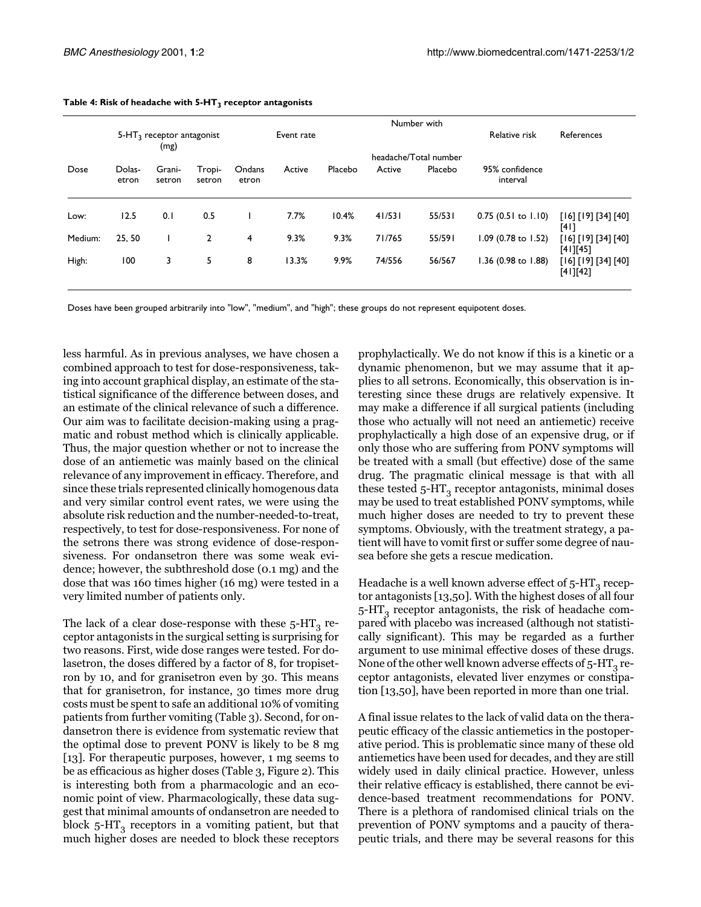|         | Number with                         |                  |                  |                 |            |         |        |                       |                            |                                 |  |  |
|---------|-------------------------------------|------------------|------------------|-----------------|------------|---------|--------|-----------------------|----------------------------|---------------------------------|--|--|
|         | $5-HT3$ receptor antagonist<br>(mg) |                  |                  |                 | Event rate |         |        |                       | Relative risk              | References                      |  |  |
|         |                                     |                  |                  |                 |            |         |        | headache/Total number |                            |                                 |  |  |
| Dose    | Dolas-<br>etron                     | Grani-<br>setron | Tropi-<br>setron | Ondans<br>etron | Active     | Placebo | Active | Placebo               | 95% confidence<br>interval |                                 |  |  |
| Low:    | 12.5                                | 0.1              | 0.5              |                 | 7.7%       | 10.4%   | 41/531 | 55/531                | $0.75$ (0.51 to 1.10)      | [16] [19] [34] [40]<br>[41]     |  |  |
| Medium: | 25.50                               |                  | $\mathbf{2}$     | 4               | 9.3%       | 9.3%    | 71/765 | 55/591                | 1.09 (0.78 to 1.52)        | [16] [19] [34] [40]<br>[41][45] |  |  |
| High:   | 100                                 | 3                | 5.               | 8               | 13.3%      | 9.9%    | 74/556 | 56/567                | 1.36 (0.98 to 1.88)        | [16] [19] [34] [40]<br>[41][42] |  |  |

#### Table 4: Risk of headache with 5-HT<sub>3</sub> receptor antagonists

Doses have been grouped arbitrarily into "low", "medium", and "high"; these groups do not represent equipotent doses.

less harmful. As in previous analyses, we have chosen a combined approach to test for dose-responsiveness, taking into account graphical display, an estimate of the statistical significance of the difference between doses, and an estimate of the clinical relevance of such a difference. Our aim was to facilitate decision-making using a pragmatic and robust method which is clinically applicable. Thus, the major question whether or not to increase the dose of an antiemetic was mainly based on the clinical relevance of any improvement in efficacy. Therefore, and since these trials represented clinically homogenous data and very similar control event rates, we were using the absolute risk reduction and the number-needed-to-treat, respectively, to test for dose-responsiveness. For none of the setrons there was strong evidence of dose-responsiveness. For ondansetron there was some weak evidence; however, the subthreshold dose (0.1 mg) and the dose that was 160 times higher (16 mg) were tested in a very limited number of patients only.

The lack of a clear dose-response with these  $5-HT_3$  receptor antagonists in the surgical setting is surprising for two reasons. First, wide dose ranges were tested. For dolasetron, the doses differed by a factor of 8, for tropisetron by 10, and for granisetron even by 30. This means that for granisetron, for instance, 30 times more drug costs must be spent to safe an additional 10% of vomiting patients from further vomiting (Table [3\)](#page-6-0). Second, for ondansetron there is evidence from systematic review that the optimal dose to prevent PONV is likely to be 8 mg [[13](#page-9-11)]. For therapeutic purposes, however, 1 mg seems to be as efficacious as higher doses (Table [3,](#page-6-0) Figure [2\)](#page-6-1). This is interesting both from a pharmacologic and an economic point of view. Pharmacologically, these data suggest that minimal amounts of ondansetron are needed to block  $5-HT<sub>3</sub>$  receptors in a vomiting patient, but that much higher doses are needed to block these receptors

prophylactically. We do not know if this is a kinetic or a dynamic phenomenon, but we may assume that it applies to all setrons. Economically, this observation is interesting since these drugs are relatively expensive. It may make a difference if all surgical patients (including those who actually will not need an antiemetic) receive prophylactically a high dose of an expensive drug, or if only those who are suffering from PONV symptoms will be treated with a small (but effective) dose of the same drug. The pragmatic clinical message is that with all these tested  $5-HT_3$  receptor antagonists, minimal doses may be used to treat established PONV symptoms, while much higher doses are needed to try to prevent these symptoms. Obviously, with the treatment strategy, a patient will have to vomit first or suffer some degree of nausea before she gets a rescue medication.

Headache is a well known adverse effect of  $5-HT_3$  receptor antagonists [[13](#page-9-11)[,50](#page-10-34)]. With the highest doses of all four  $5$ -HT<sub>3</sub> receptor antagonists, the risk of headache compared with placebo was increased (although not statistically significant). This may be regarded as a further argument to use minimal effective doses of these drugs. None of the other well known adverse effects of  $5-HT_3$  receptor antagonists, elevated liver enzymes or constipation [\[13](#page-9-11)[,50\]](#page-10-34), have been reported in more than one trial.

A final issue relates to the lack of valid data on the therapeutic efficacy of the classic antiemetics in the postoperative period. This is problematic since many of these old antiemetics have been used for decades, and they are still widely used in daily clinical practice. However, unless their relative efficacy is established, there cannot be evidence-based treatment recommendations for PONV. There is a plethora of randomised clinical trials on the prevention of PONV symptoms and a paucity of therapeutic trials, and there may be several reasons for this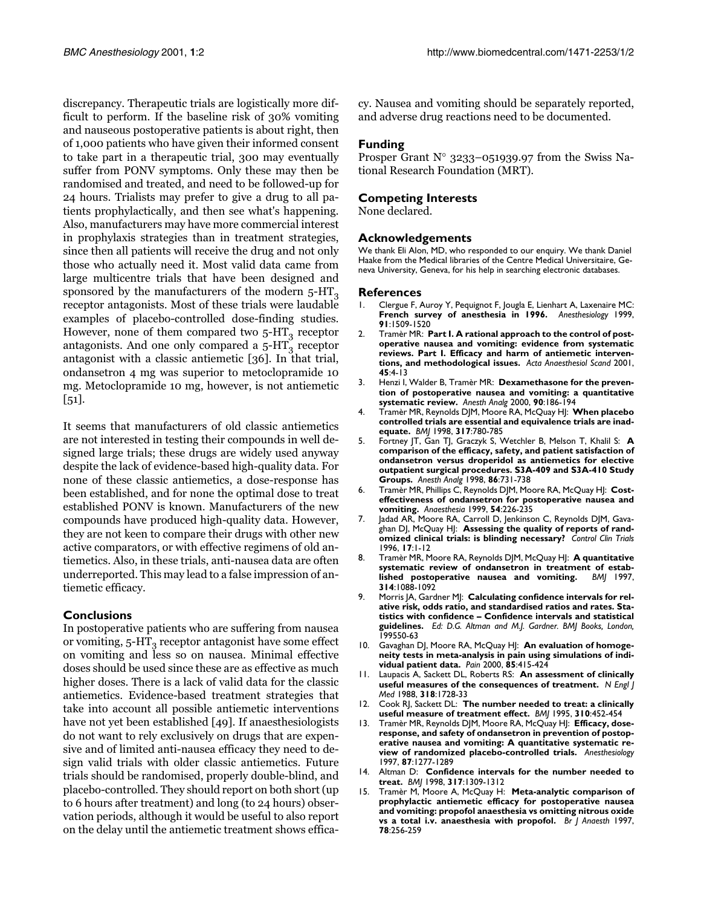discrepancy. Therapeutic trials are logistically more difficult to perform. If the baseline risk of 30% vomiting and nauseous postoperative patients is about right, then of 1,000 patients who have given their informed consent to take part in a therapeutic trial, 300 may eventually suffer from PONV symptoms. Only these may then be randomised and treated, and need to be followed-up for 24 hours. Trialists may prefer to give a drug to all patients prophylactically, and then see what's happening. Also, manufacturers may have more commercial interest in prophylaxis strategies than in treatment strategies, since then all patients will receive the drug and not only those who actually need it. Most valid data came from large multicentre trials that have been designed and sponsored by the manufacturers of the modern  $5-HT<sub>3</sub>$ receptor antagonists. Most of these trials were laudable examples of placebo-controlled dose-finding studies. However, none of them compared two  $5-HT_3$  receptor antagonists. And one only compared a  $5-HT_3$  receptor antagonist with a classic antiemetic [\[36](#page-10-19)]. In that trial, ondansetron 4 mg was superior to metoclopramide 10 mg. Metoclopramide 10 mg, however, is not antiemetic [[51](#page-10-35)].

It seems that manufacturers of old classic antiemetics are not interested in testing their compounds in well designed large trials; these drugs are widely used anyway despite the lack of evidence-based high-quality data. For none of these classic antiemetics, a dose-response has been established, and for none the optimal dose to treat established PONV is known. Manufacturers of the new compounds have produced high-quality data. However, they are not keen to compare their drugs with other new active comparators, or with effective regimens of old antiemetics. Also, in these trials, anti-nausea data are often underreported. This may lead to a false impression of antiemetic efficacy.

## **Conclusions**

In postoperative patients who are suffering from nausea or vomiting,  $5-HT<sub>3</sub>$  receptor antagonist have some effect on vomiting and less so on nausea. Minimal effective doses should be used since these are as effective as much higher doses. There is a lack of valid data for the classic antiemetics. Evidence-based treatment strategies that take into account all possible antiemetic interventions have not yet been established [\[49](#page-10-33)]. If anaesthesiologists do not want to rely exclusively on drugs that are expensive and of limited anti-nausea efficacy they need to design valid trials with older classic antiemetics. Future trials should be randomised, properly double-blind, and placebo-controlled. They should report on both short (up to 6 hours after treatment) and long (to 24 hours) observation periods, although it would be useful to also report on the delay until the antiemetic treatment shows efficacy. Nausea and vomiting should be separately reported, and adverse drug reactions need to be documented.

#### **Funding**

Prosper Grant N° 3233–051939.97 from the Swiss National Research Foundation (MRT).

#### **Competing Interests**

None declared.

#### **Acknowledgements**

We thank Eli Alon, MD, who responded to our enquiry. We thank Daniel Haake from the Medical libraries of the Centre Medical Universitaire, Geneva University, Geneva, for his help in searching electronic databases.

#### **References**

- <span id="page-9-0"></span>1. [Clergue F, Auroy Y, Pequignot F, Jougla E, Lienhart A, Laxenaire MC:](http://www.ncbi.nlm.nih.gov/entrez/query.fcgi?cmd=Retrieve&db=PubMed&dopt=Abstract&list_uids=10551604) **French survey of anesthesia in 1996.** *Anesthesiology* 1999, **91**:1509-1520
- <span id="page-9-1"></span>2. [Tramèr MR:](http://www.ncbi.nlm.nih.gov/entrez/query.fcgi?cmd=Retrieve&db=PubMed&dopt=Abstract&list_uids=11152031) **Part I. A rational approach to the control of postoperative nausea and vomiting: evidence from systematic reviews. Part I. Efficacy and harm of antiemetic interventions, and methodological issues.** *Acta Anaesthesiol Scand* 2001, **45**:4-13
- <span id="page-9-2"></span>3. [Henzi I, Walder B, Tramèr MR:](http://www.ncbi.nlm.nih.gov/entrez/query.fcgi?cmd=Retrieve&db=PubMed&dopt=Abstract&list_uids=10625002) **Dexamethasone for the prevention of postoperative nausea and vomiting: a quantitative systematic review.** *Anesth Analg* 2000, **90**:186-194
- 4. [Tramèr MR, Reynolds DJM, Moore RA, McQuay HJ:](http://www.ncbi.nlm.nih.gov/entrez/query.fcgi?cmd=Retrieve&db=PubMed&dopt=Abstract&list_uids=9740563) **When placebo controlled trials are essential and equivalence trials are inadequate.** *BMJ* 1998, **317**:780-785
- <span id="page-9-3"></span>5. [Fortney JT, Gan TJ, Graczyk S, Wetchler B, Melson T, Khalil S:](http://www.ncbi.nlm.nih.gov/entrez/query.fcgi?cmd=Retrieve&db=PubMed&dopt=Abstract&list_uids=9539593) **A comparison of the efficacy, safety, and patient satisfaction of ondansetron versus droperidol as antiemetics for elective outpatient surgical procedures. S3A-409 and S3A-410 Study Groups.** *Anesth Analg* 1998, **86**:731-738
- <span id="page-9-4"></span>6. [Tramèr MR, Phillips C, Reynolds DJM, Moore RA, McQuay HJ:](http://www.ncbi.nlm.nih.gov/entrez/query.fcgi?cmd=Retrieve&db=PubMed&dopt=Abstract&list_uids=10364857) **Costeffectiveness of ondansetron for postoperative nausea and vomiting.** *Anaesthesia* 1999, **54**:226-235
- <span id="page-9-5"></span>7. [Jadad AR, Moore RA, Carroll D, Jenkinson C, Reynolds DJM, Gava](http://www.ncbi.nlm.nih.gov/entrez/query.fcgi?cmd=Retrieve&db=PubMed&dopt=Abstract&list_uids=8721797)[ghan DJ, McQuay HJ:](http://www.ncbi.nlm.nih.gov/entrez/query.fcgi?cmd=Retrieve&db=PubMed&dopt=Abstract&list_uids=8721797) **Assessing the quality of reports of randomized clinical trials: is blinding necessary?** *Control Clin Trials* 1996, **17**:1-12
- <span id="page-9-6"></span>8. [Tramèr MR, Moore RA, Reynolds DJM, McQuay HJ:](http://www.ncbi.nlm.nih.gov/entrez/query.fcgi?cmd=Retrieve&db=PubMed&dopt=Abstract&list_uids=9133892) **A quantitative** systematic review of ondansetron in treatment of estab-<br>lished postoperative nausea and vomiting. **BM**| 1997, lished postoperative nausea and vomiting. **314**:1088-1092
- <span id="page-9-7"></span>9. Morris JA, Gardner MJ: **Calculating confidence intervals for relative risk, odds ratio, and standardised ratios and rates. Statistics with confidence – Confidence intervals and statistical guidelines.** *Ed: D.G. Altman and M.J. Gardner. BMJ Books, London,* 199550-63
- <span id="page-9-8"></span>10. [Gavaghan DJ, Moore RA, McQuay HJ:](http://www.ncbi.nlm.nih.gov/entrez/query.fcgi?cmd=Retrieve&db=PubMed&dopt=Abstract&list_uids=10781914) **An evaluation of homogeneity tests in meta-analysis in pain using simulations of individual patient data.** *Pain* 2000, **85**:415-424
- <span id="page-9-9"></span>11. [Laupacis A, Sackett DL, Roberts RS:](http://www.ncbi.nlm.nih.gov/entrez/query.fcgi?cmd=Retrieve&db=PubMed&dopt=Abstract&list_uids=3374545) **An assessment of clinically useful measures of the consequences of treatment.** *N Engl J Med* 1988, **318**:1728-33
- <span id="page-9-10"></span>12. [Cook RJ, Sackett DL:](http://www.ncbi.nlm.nih.gov/entrez/query.fcgi?cmd=Retrieve&db=PubMed&dopt=Abstract&list_uids=7873954) **The number needed to treat: a clinically useful measure of treatment effect.** *BMJ* 1995, **310**:452-454
- <span id="page-9-11"></span>13. [Tramèr MR, Reynolds DJM, Moore RA, McQuay HJ:](http://www.ncbi.nlm.nih.gov/entrez/query.fcgi?cmd=Retrieve&db=PubMed&dopt=Abstract&list_uids=9416710) **Efficacy, doseresponse, and safety of ondansetron in prevention of postoperative nausea and vomiting: A quantitative systematic review of randomized placebo-controlled trials.** *Anesthesiology* 1997, **87**:1277-1289
- <span id="page-9-12"></span>14. [Altman D:](http://www.ncbi.nlm.nih.gov/entrez/query.fcgi?cmd=Retrieve&db=PubMed&dopt=Abstract&list_uids=9804726) **Confidence intervals for the number needed to treat.** *BMJ* 1998, **317**:1309-1312
- <span id="page-9-13"></span>15. [Tramèr M, Moore A, McQuay H:](http://www.ncbi.nlm.nih.gov/entrez/query.fcgi?cmd=Retrieve&db=PubMed&dopt=Abstract&list_uids=9135300) **Meta-analytic comparison of prophylactic antiemetic efficacy for postoperative nausea and vomiting: propofol anaesthesia vs omitting nitrous oxide vs a total i.v. anaesthesia with propofol.** *Br J Anaesth* 1997, **78**:256-259